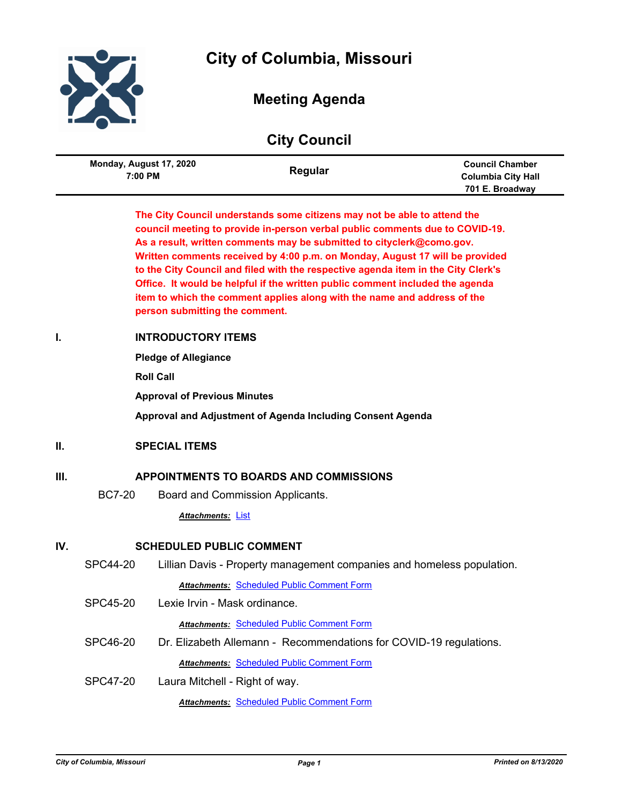



# **Meeting Agenda**

|  | <b>City Council</b> |
|--|---------------------|
|--|---------------------|

| Monday, August 17, 2020<br>7:00 PM | Regular | <b>Council Chamber</b><br><b>Columbia City Hall</b> |
|------------------------------------|---------|-----------------------------------------------------|
|                                    |         | 701 E. Broadway                                     |

**The City Council understands some citizens may not be able to attend the council meeting to provide in-person verbal public comments due to COVID-19. As a result, written comments may be submitted to cityclerk@como.gov. Written comments received by 4:00 p.m. on Monday, August 17 will be provided to the City Council and filed with the respective agenda item in the City Clerk's Office. It would be helpful if the written public comment included the agenda item to which the comment applies along with the name and address of the person submitting the comment.**

# **I. INTRODUCTORY ITEMS**

**Pledge of Allegiance**

**Roll Call**

**Approval of Previous Minutes**

**Approval and Adjustment of Agenda Including Consent Agenda**

# **II. SPECIAL ITEMS**

# **III. APPOINTMENTS TO BOARDS AND COMMISSIONS**

BC7-20 Board and Commission Applicants.

*Attachments:* [List](http://gocolumbiamo.legistar.com/gateway.aspx?M=F&ID=e7d281b9-5024-4376-95a3-a86e30e8a6ab.pdf)

# **IV. SCHEDULED PUBLIC COMMENT**

SPC44-20 Lillian Davis - Property management companies and homeless population.

*Attachments:* [Scheduled Public Comment Form](http://gocolumbiamo.legistar.com/gateway.aspx?M=F&ID=1ad0583b-6e0a-43b5-befb-a648b022d531.pdf)

SPC45-20 Lexie Irvin - Mask ordinance.

*Attachments:* [Scheduled Public Comment Form](http://gocolumbiamo.legistar.com/gateway.aspx?M=F&ID=559da00b-5509-48b5-a8c2-df2c96a3da48.pdf)

- SPC46-20 Dr. Elizabeth Allemann Recommendations for COVID-19 regulations. **Attachments: [Scheduled Public Comment Form](http://gocolumbiamo.legistar.com/gateway.aspx?M=F&ID=b98a7623-e563-403f-903b-42d1c2e68a60.pdf)**
- SPC47-20 Laura Mitchell Right of way.

*Attachments:* [Scheduled Public Comment Form](http://gocolumbiamo.legistar.com/gateway.aspx?M=F&ID=dfb60006-6efe-4137-bfbb-1e40c9e616f4.pdf)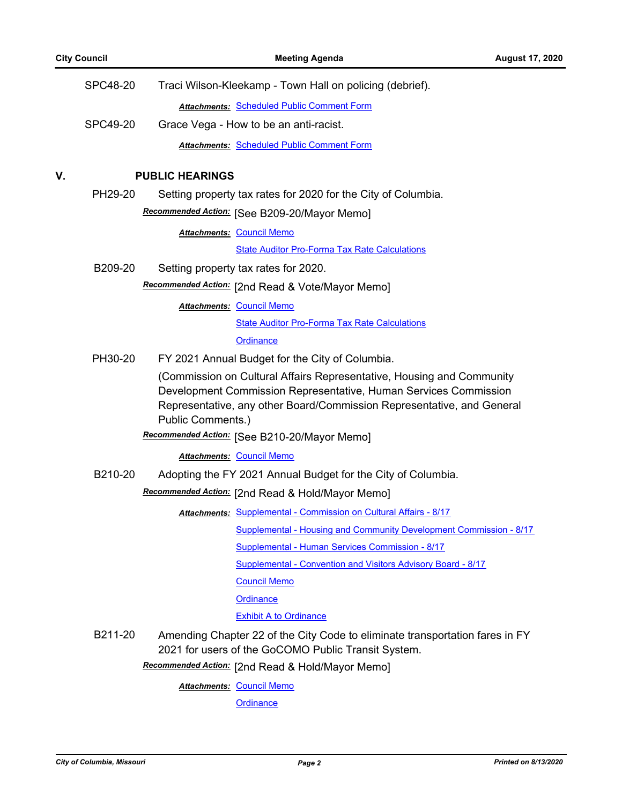| <b>SPC48-20</b> | Traci Wilson-Kleekamp - Town Hall on policing (debrief).                                                                                                                                                                                 |
|-----------------|------------------------------------------------------------------------------------------------------------------------------------------------------------------------------------------------------------------------------------------|
|                 | <b>Attachments: Scheduled Public Comment Form</b>                                                                                                                                                                                        |
| SPC49-20        | Grace Vega - How to be an anti-racist.                                                                                                                                                                                                   |
|                 | <b>Attachments: Scheduled Public Comment Form</b>                                                                                                                                                                                        |
|                 | <b>PUBLIC HEARINGS</b>                                                                                                                                                                                                                   |
|                 | Setting property tax rates for 2020 for the City of Columbia.                                                                                                                                                                            |
|                 | Recommended Action: [See B209-20/Mayor Memo]                                                                                                                                                                                             |
|                 | <b>Attachments: Council Memo</b>                                                                                                                                                                                                         |
|                 | <b>State Auditor Pro-Forma Tax Rate Calculations</b>                                                                                                                                                                                     |
| B209-20         | Setting property tax rates for 2020.                                                                                                                                                                                                     |
|                 | Recommended Action: [2nd Read & Vote/Mayor Memo]                                                                                                                                                                                         |
|                 | <b>Attachments: Council Memo</b>                                                                                                                                                                                                         |
|                 | <b>State Auditor Pro-Forma Tax Rate Calculations</b>                                                                                                                                                                                     |
|                 | Ordinance                                                                                                                                                                                                                                |
| PH30-20         | FY 2021 Annual Budget for the City of Columbia.                                                                                                                                                                                          |
|                 | (Commission on Cultural Affairs Representative, Housing and Community<br>Development Commission Representative, Human Services Commission<br>Representative, any other Board/Commission Representative, and General<br>Public Comments.) |
|                 | Recommended Action: [See B210-20/Mayor Memo]                                                                                                                                                                                             |
|                 | <b>Attachments: Council Memo</b>                                                                                                                                                                                                         |
| B210-20         | Adopting the FY 2021 Annual Budget for the City of Columbia.                                                                                                                                                                             |
|                 | Recommended Action: [2nd Read & Hold/Mayor Memo]                                                                                                                                                                                         |
|                 | Attachments: Supplemental - Commission on Cultural Affairs - 8/17                                                                                                                                                                        |
|                 | Supplemental - Housing and Community Development Commission - 8/17                                                                                                                                                                       |
|                 | Supplemental - Human Services Commission - 8/17                                                                                                                                                                                          |
|                 | Supplemental - Convention and Visitors Advisory Board - 8/17                                                                                                                                                                             |
|                 | <b>Council Memo</b>                                                                                                                                                                                                                      |
|                 | Ordinance                                                                                                                                                                                                                                |
|                 | <b>Exhibit A to Ordinance</b>                                                                                                                                                                                                            |
|                 | Amending Chapter 22 of the City Code to eliminate transportation fares in FY<br>2021 for users of the GoCOMO Public Transit System.                                                                                                      |
|                 | Recommended Action: [2nd Read & Hold/Mayor Memo]                                                                                                                                                                                         |
|                 | <b>Attachments: Council Memo</b>                                                                                                                                                                                                         |
|                 | Ordinance                                                                                                                                                                                                                                |
|                 | PH29-20<br>B211-20                                                                                                                                                                                                                       |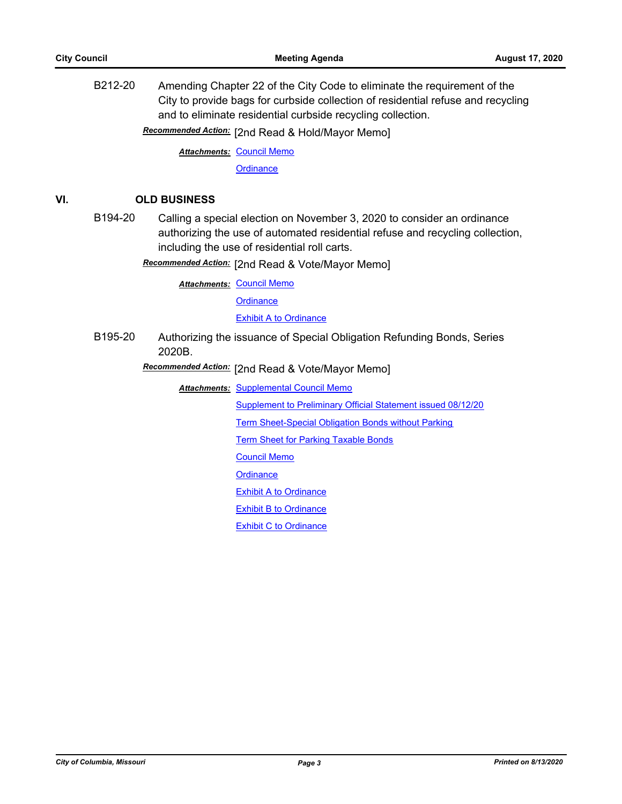B212-20 Amending Chapter 22 of the City Code to eliminate the requirement of the City to provide bags for curbside collection of residential refuse and recycling and to eliminate residential curbside recycling collection.

Recommended Action: [2nd Read & Hold/Mayor Memo]

**Attachments: [Council Memo](http://gocolumbiamo.legistar.com/gateway.aspx?M=F&ID=9741ac63-c888-4360-88ca-c84c84b26c4d.docx)** 

**[Ordinance](http://gocolumbiamo.legistar.com/gateway.aspx?M=F&ID=e80553de-ec63-439c-b61e-b7ae21c6400d.doc)** 

## **VI. OLD BUSINESS**

B194-20 Calling a special election on November 3, 2020 to consider an ordinance authorizing the use of automated residential refuse and recycling collection, including the use of residential roll carts.

Recommended Action: [2nd Read & Vote/Mayor Memo]

**Attachments: [Council Memo](http://gocolumbiamo.legistar.com/gateway.aspx?M=F&ID=afdbd20d-45c3-4afc-8bf9-d9274360408d.docx) [Ordinance](http://gocolumbiamo.legistar.com/gateway.aspx?M=F&ID=7f4d6ca3-2b3a-486b-afdd-e36658ab6920.doc) [Exhibit A to Ordinance](http://gocolumbiamo.legistar.com/gateway.aspx?M=F&ID=5848fd8d-3b4f-4356-b7a4-74c8542de111.doc)** 

B195-20 Authorizing the issuance of Special Obligation Refunding Bonds, Series 2020B.

**Recommended Action:** [2nd Read & Vote/Mayor Memo]

**Attachments: [Supplemental Council Memo](http://gocolumbiamo.legistar.com/gateway.aspx?M=F&ID=f7c34e24-2cb8-4afe-90fe-e9b1a7bf9d23.docx)** [Supplement to Preliminary Official Statement issued 08/12/20](http://gocolumbiamo.legistar.com/gateway.aspx?M=F&ID=2ef92a36-c1fd-4fb1-b5d8-31118ea221b4.pdf) [Term Sheet-Special Obligation Bonds without Parking](http://gocolumbiamo.legistar.com/gateway.aspx?M=F&ID=da0c5905-96a4-4741-ac2b-04f385d62efb.pdf) [Term Sheet for Parking Taxable Bonds](http://gocolumbiamo.legistar.com/gateway.aspx?M=F&ID=431b8bca-8f38-490e-83f2-6c4d25f645c5.pdf) [Council Memo](http://gocolumbiamo.legistar.com/gateway.aspx?M=F&ID=26433b1c-6424-4919-9d98-3c0bfb1036e8.docx) **[Ordinance](http://gocolumbiamo.legistar.com/gateway.aspx?M=F&ID=b43e255d-87f3-485d-88e2-abdfa113a633.doc) [Exhibit A to Ordinance](http://gocolumbiamo.legistar.com/gateway.aspx?M=F&ID=c6e4a2ac-8845-4fb3-9945-1d670683c37b.pdf)** [Exhibit B to Ordinance](http://gocolumbiamo.legistar.com/gateway.aspx?M=F&ID=32a70407-3112-473a-b09f-1bc47d7b835b.pdf) [Exhibit C to Ordinance](http://gocolumbiamo.legistar.com/gateway.aspx?M=F&ID=875456d7-03ee-4f7e-8bb6-5b6b7bb1e3d1.pdf)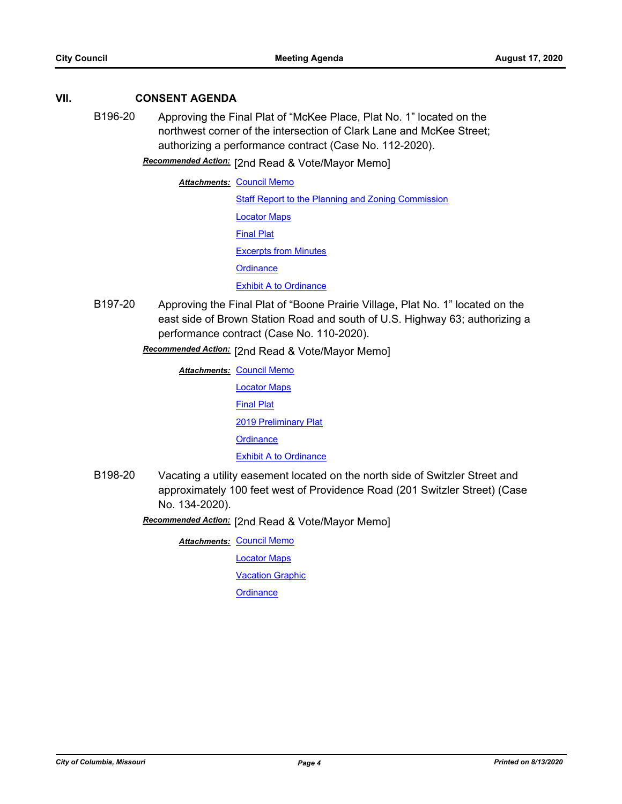# **VII. CONSENT AGENDA**

B196-20 Approving the Final Plat of "McKee Place, Plat No. 1" located on the northwest corner of the intersection of Clark Lane and McKee Street; authorizing a performance contract (Case No. 112-2020).

[2nd Read & Vote/Mayor Memo] *Recommended Action:*

**Attachments: [Council Memo](http://gocolumbiamo.legistar.com/gateway.aspx?M=F&ID=a83ed433-9fe6-4650-8d72-c38203c9b651.docx)** [Staff Report to the Planning and Zoning Commission](http://gocolumbiamo.legistar.com/gateway.aspx?M=F&ID=02170fb3-380f-4dd3-a55a-973e772a9496.docx) [Locator Maps](http://gocolumbiamo.legistar.com/gateway.aspx?M=F&ID=f8b49de5-f7a1-40bd-9c01-6bd3072444f1.pdf) [Final Plat](http://gocolumbiamo.legistar.com/gateway.aspx?M=F&ID=def63ed7-18c7-4f36-bfd5-133bc2e2dfa9.pdf) [Excerpts from Minutes](http://gocolumbiamo.legistar.com/gateway.aspx?M=F&ID=b8888977-5932-457d-aaec-b79f13cef91b.docx) **[Ordinance](http://gocolumbiamo.legistar.com/gateway.aspx?M=F&ID=66aa76f6-2318-44fd-ba76-e6322e2ca88e.doc)** [Exhibit A to Ordinance](http://gocolumbiamo.legistar.com/gateway.aspx?M=F&ID=8288a2a4-a332-4dcd-b3f8-d67696b9777c.pdf)

B197-20 Approving the Final Plat of "Boone Prairie Village, Plat No. 1" located on the east side of Brown Station Road and south of U.S. Highway 63; authorizing a performance contract (Case No. 110-2020).

Recommended Action: [2nd Read & Vote/Mayor Memo]

**Attachments: [Council Memo](http://gocolumbiamo.legistar.com/gateway.aspx?M=F&ID=6b9c2e5f-fe5a-4e99-ae60-4f74870507a5.docx)** [Locator Maps](http://gocolumbiamo.legistar.com/gateway.aspx?M=F&ID=4010280e-3da5-481f-8595-6f1a83a35a0b.pdf) [Final Plat](http://gocolumbiamo.legistar.com/gateway.aspx?M=F&ID=e2da86e0-55c7-4a58-9ec6-de077ac94c11.pdf) [2019 Preliminary Plat](http://gocolumbiamo.legistar.com/gateway.aspx?M=F&ID=ac75fdc2-eda5-4e8b-8043-67ddcbb45ad9.pdf) **[Ordinance](http://gocolumbiamo.legistar.com/gateway.aspx?M=F&ID=5cb971ef-694a-414e-9cbd-4acdbba24fc4.doc) [Exhibit A to Ordinance](http://gocolumbiamo.legistar.com/gateway.aspx?M=F&ID=b8af09cb-a76c-400b-a877-5eea04f4d4a8.pdf)** 

B198-20 Vacating a utility easement located on the north side of Switzler Street and approximately 100 feet west of Providence Road (201 Switzler Street) (Case No. 134-2020).

Recommended Action: [2nd Read & Vote/Mayor Memo]

**Attachments: [Council Memo](http://gocolumbiamo.legistar.com/gateway.aspx?M=F&ID=f106296a-5162-4059-b210-5df1c765a3f5.docx)** 

[Locator Maps](http://gocolumbiamo.legistar.com/gateway.aspx?M=F&ID=f128a0b4-3c68-4a2f-ae0d-db036fb589b4.pdf)

[Vacation Graphic](http://gocolumbiamo.legistar.com/gateway.aspx?M=F&ID=32e0d84d-b58e-4bd6-a5c4-cfe5a4c0bcb5.pdf)

**[Ordinance](http://gocolumbiamo.legistar.com/gateway.aspx?M=F&ID=cca5e137-e7c5-41d9-88b0-453b6210d660.doc)**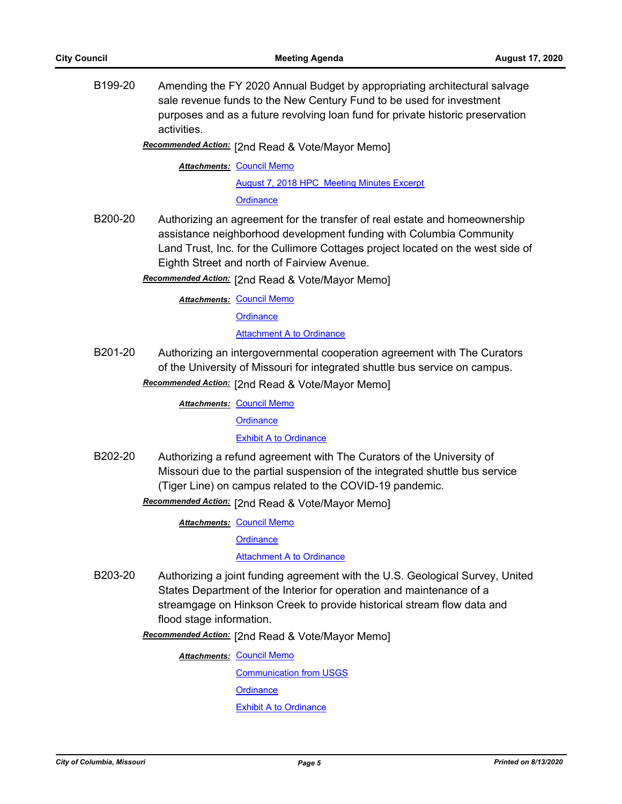B199-20 Amending the FY 2020 Annual Budget by appropriating architectural salvage sale revenue funds to the New Century Fund to be used for investment purposes and as a future revolving loan fund for private historic preservation activities.

Recommended Action: [2nd Read & Vote/Mayor Memo]

**Attachments: [Council Memo](http://gocolumbiamo.legistar.com/gateway.aspx?M=F&ID=2a255a49-3c35-433f-aa51-0a5a680114c4.docx)** 

[August 7, 2018 HPC Meeting Minutes Excerpt](http://gocolumbiamo.legistar.com/gateway.aspx?M=F&ID=0f60a68b-b25a-49b9-ae0d-0e8a6ad6042e.pdf)

**[Ordinance](http://gocolumbiamo.legistar.com/gateway.aspx?M=F&ID=16840c08-d79b-423e-b16f-1e9d101ce9d5.doc)** 

B200-20 Authorizing an agreement for the transfer of real estate and homeownership assistance neighborhood development funding with Columbia Community Land Trust, Inc. for the Cullimore Cottages project located on the west side of Eighth Street and north of Fairview Avenue.

Recommended Action: [2nd Read & Vote/Mayor Memo]

**Attachments: [Council Memo](http://gocolumbiamo.legistar.com/gateway.aspx?M=F&ID=87888213-288e-4a85-8da8-1ca17493d7f8.docx)** 

**[Ordinance](http://gocolumbiamo.legistar.com/gateway.aspx?M=F&ID=56880672-2e55-4219-b5a4-3539f2d33a7e.doc)** 

**[Attachment A to Ordinance](http://gocolumbiamo.legistar.com/gateway.aspx?M=F&ID=310b827a-b4eb-4a19-8a6a-2def97a90495.pdf)** 

- B201-20 Authorizing an intergovernmental cooperation agreement with The Curators of the University of Missouri for integrated shuttle bus service on campus.
	- Recommended Action: [2nd Read & Vote/Mayor Memo]

**Attachments: [Council Memo](http://gocolumbiamo.legistar.com/gateway.aspx?M=F&ID=7610d3b2-3d46-4dff-b031-1f9c5f4c1e4e.docx)** 

**[Ordinance](http://gocolumbiamo.legistar.com/gateway.aspx?M=F&ID=d75426d7-8d94-482e-b03f-071b0d59a085.doc)** 

[Exhibit A to Ordinance](http://gocolumbiamo.legistar.com/gateway.aspx?M=F&ID=1b895211-054e-4183-83d4-c14c157d3274.pdf)

B202-20 Authorizing a refund agreement with The Curators of the University of Missouri due to the partial suspension of the integrated shuttle bus service (Tiger Line) on campus related to the COVID-19 pandemic.

[2nd Read & Vote/Mayor Memo] *Recommended Action:*

**Attachments: [Council Memo](http://gocolumbiamo.legistar.com/gateway.aspx?M=F&ID=9a20e537-ffc1-4a65-900e-a1069f34892a.docx)** 

**[Ordinance](http://gocolumbiamo.legistar.com/gateway.aspx?M=F&ID=f37582e5-ad1f-45e7-ba8f-9f38cd0d034a.doc)** 

[Attachment A to Ordinance](http://gocolumbiamo.legistar.com/gateway.aspx?M=F&ID=90200964-85db-407e-a76c-f30b6c68f01a.pdf)

B203-20 Authorizing a joint funding agreement with the U.S. Geological Survey, United States Department of the Interior for operation and maintenance of a streamgage on Hinkson Creek to provide historical stream flow data and flood stage information.

Recommended Action: [2nd Read & Vote/Mayor Memo]

**Attachments: [Council Memo](http://gocolumbiamo.legistar.com/gateway.aspx?M=F&ID=b3113d2b-a49b-4123-9ed6-c682b6901728.docx)** 

[Communication from USGS](http://gocolumbiamo.legistar.com/gateway.aspx?M=F&ID=ae9804fa-12ea-491f-8637-29fdad3e1afb.pdf) **[Ordinance](http://gocolumbiamo.legistar.com/gateway.aspx?M=F&ID=9233bff5-7704-4738-bd49-16cb264b2b9e.doc)** [Exhibit A to Ordinance](http://gocolumbiamo.legistar.com/gateway.aspx?M=F&ID=a95f5d77-1220-42ae-a1ff-3c697b9610ab.pdf)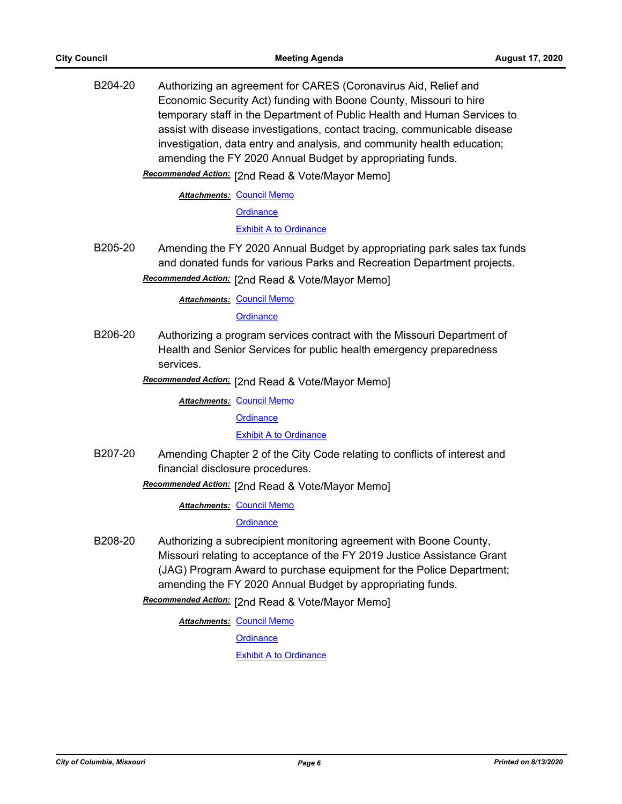B204-20 Authorizing an agreement for CARES (Coronavirus Aid, Relief and Economic Security Act) funding with Boone County, Missouri to hire temporary staff in the Department of Public Health and Human Services to assist with disease investigations, contact tracing, communicable disease investigation, data entry and analysis, and community health education; amending the FY 2020 Annual Budget by appropriating funds. Recommended Action: [2nd Read & Vote/Mayor Memo] **Attachments: [Council Memo](http://gocolumbiamo.legistar.com/gateway.aspx?M=F&ID=bca31dab-1ccd-41ca-bc2a-845c3550c524.docx) [Ordinance](http://gocolumbiamo.legistar.com/gateway.aspx?M=F&ID=d71d1a1e-a2ec-49dd-b968-1c47618fe6c9.doc) [Exhibit A to Ordinance](http://gocolumbiamo.legistar.com/gateway.aspx?M=F&ID=8cf73c08-0154-4bee-bbbb-2aec8b2e584e.pdf)** B205-20 Amending the FY 2020 Annual Budget by appropriating park sales tax funds and donated funds for various Parks and Recreation Department projects. Recommended Action: [2nd Read & Vote/Mayor Memo] **Attachments: [Council Memo](http://gocolumbiamo.legistar.com/gateway.aspx?M=F&ID=7becd043-8735-4715-8797-03147240f1a7.docx) [Ordinance](http://gocolumbiamo.legistar.com/gateway.aspx?M=F&ID=8d18b249-72d6-4af7-a9c0-5f58db9b858e.doc)** B206-20 Authorizing a program services contract with the Missouri Department of Health and Senior Services for public health emergency preparedness services. [2nd Read & Vote/Mayor Memo] *Recommended Action:* **Attachments: [Council Memo](http://gocolumbiamo.legistar.com/gateway.aspx?M=F&ID=5c6f0600-b3d7-4da3-953d-b0a0505fffbf.docx) [Ordinance](http://gocolumbiamo.legistar.com/gateway.aspx?M=F&ID=4155a9f5-a81a-4597-9b0c-2f25f491a8f3.doc) [Exhibit A to Ordinance](http://gocolumbiamo.legistar.com/gateway.aspx?M=F&ID=6da355f6-3aef-429f-b53d-3b4d905b43c6.pdf)** B207-20 Amending Chapter 2 of the City Code relating to conflicts of interest and financial disclosure procedures. Recommended Action: [2nd Read & Vote/Mayor Memo] **Attachments: [Council Memo](http://gocolumbiamo.legistar.com/gateway.aspx?M=F&ID=b0bd67de-7ae3-4ac8-88c1-5a693ed08672.docx) [Ordinance](http://gocolumbiamo.legistar.com/gateway.aspx?M=F&ID=abda83a8-33b6-45a4-9fb3-e2755c716c5d.doc)** B208-20 Authorizing a subrecipient monitoring agreement with Boone County, Missouri relating to acceptance of the FY 2019 Justice Assistance Grant (JAG) Program Award to purchase equipment for the Police Department; amending the FY 2020 Annual Budget by appropriating funds. Recommended Action: [2nd Read & Vote/Mayor Memo] **Attachments: [Council Memo](http://gocolumbiamo.legistar.com/gateway.aspx?M=F&ID=6e9105b3-0746-4f53-b2da-fcb1f2e8ce47.docx)** 

**[Ordinance](http://gocolumbiamo.legistar.com/gateway.aspx?M=F&ID=c6b447cd-add9-49b7-9745-38bf50cef3fe.doc)** 

[Exhibit A to Ordinance](http://gocolumbiamo.legistar.com/gateway.aspx?M=F&ID=119921a2-6250-41c0-8ebd-75f27820b6a1.pdf)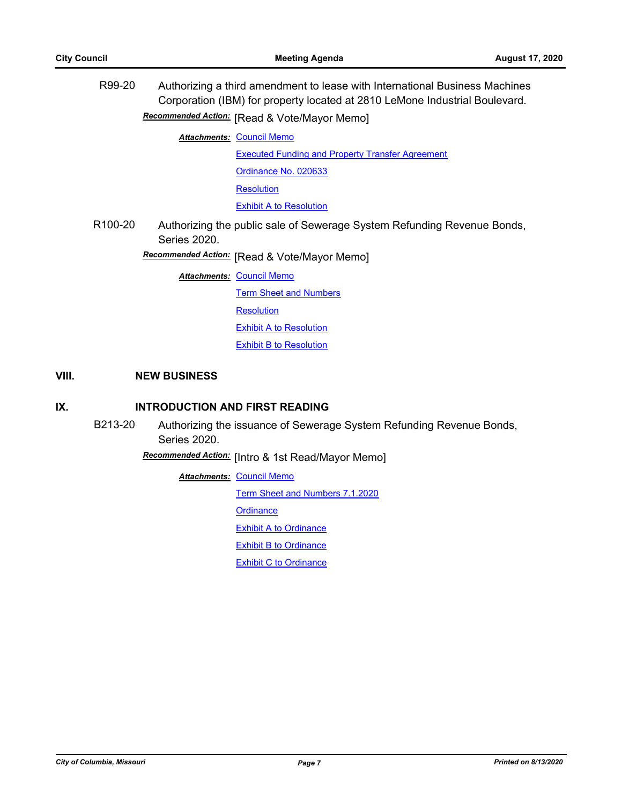| R99-20               | Authorizing a third amendment to lease with International Business Machines<br>Corporation (IBM) for property located at 2810 LeMone Industrial Boulevard. |                                                                         |  |
|----------------------|------------------------------------------------------------------------------------------------------------------------------------------------------------|-------------------------------------------------------------------------|--|
|                      |                                                                                                                                                            | Recommended Action: [Read & Vote/Mayor Memo]                            |  |
|                      |                                                                                                                                                            | <b>Attachments: Council Memo</b>                                        |  |
|                      |                                                                                                                                                            | <b>Executed Funding and Property Transfer Agreement</b>                 |  |
|                      |                                                                                                                                                            | Ordinance No. 020633                                                    |  |
|                      |                                                                                                                                                            | <b>Resolution</b>                                                       |  |
|                      |                                                                                                                                                            | <b>Exhibit A to Resolution</b>                                          |  |
| R <sub>100</sub> -20 | Series 2020.                                                                                                                                               | Authorizing the public sale of Sewerage System Refunding Revenue Bonds, |  |
|                      |                                                                                                                                                            | Recommended Action: [Read & Vote/Mayor Memo]                            |  |
|                      |                                                                                                                                                            | <b>Attachments: Council Memo</b>                                        |  |
|                      |                                                                                                                                                            | <b>Term Sheet and Numbers</b>                                           |  |
|                      |                                                                                                                                                            | <b>Resolution</b>                                                       |  |
|                      |                                                                                                                                                            | <b>Exhibit A to Resolution</b>                                          |  |

**[Exhibit B to Resolution](http://gocolumbiamo.legistar.com/gateway.aspx?M=F&ID=52c1faf0-381e-4b4a-86af-1ef8b6e6fcc6.pdf)** 

# **VIII. NEW BUSINESS**

# **IX. INTRODUCTION AND FIRST READING**

B213-20 Authorizing the issuance of Sewerage System Refunding Revenue Bonds, Series 2020.

[Intro & 1st Read/Mayor Memo] *Recommended Action:*

**Attachments: [Council Memo](http://gocolumbiamo.legistar.com/gateway.aspx?M=F&ID=6e7f6ae0-43b1-4dcb-9297-4c1f791229b7.docx)** 

[Term Sheet and Numbers 7.1.2020](http://gocolumbiamo.legistar.com/gateway.aspx?M=F&ID=84f21baa-26d9-4194-bc4a-35b6f14fd458.pdf)

**[Ordinance](http://gocolumbiamo.legistar.com/gateway.aspx?M=F&ID=500ad315-ce35-49bd-b614-843b631123ea.doc)** 

**[Exhibit A to Ordinance](http://gocolumbiamo.legistar.com/gateway.aspx?M=F&ID=ad9f68d8-5839-414c-aec2-8cf593bf949f.pdf)** 

**[Exhibit B to Ordinance](http://gocolumbiamo.legistar.com/gateway.aspx?M=F&ID=8bf4b84d-0e31-4abf-8325-d763a5966cb7.pdf)** 

**[Exhibit C to Ordinance](http://gocolumbiamo.legistar.com/gateway.aspx?M=F&ID=698676f4-7bdf-4d4e-91a7-802be1794b21.pdf)**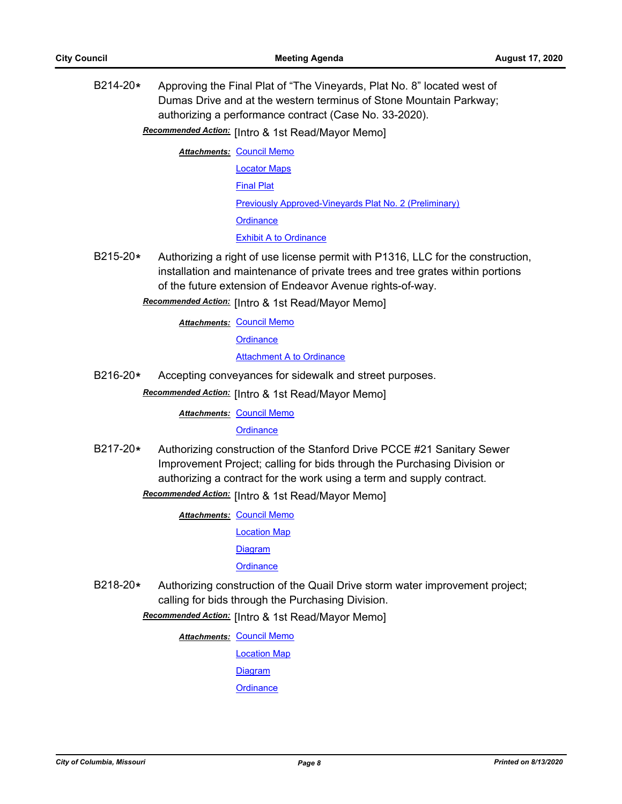B214-20**\*** Approving the Final Plat of "The Vineyards, Plat No. 8" located west of Dumas Drive and at the western terminus of Stone Mountain Parkway; authorizing a performance contract (Case No. 33-2020).

**Recommended Action:** [Intro & 1st Read/Mayor Memo]

- **Attachments: [Council Memo](http://gocolumbiamo.legistar.com/gateway.aspx?M=F&ID=e07fd233-ab95-4d84-b167-14ffff350825.docx)** [Locator Maps](http://gocolumbiamo.legistar.com/gateway.aspx?M=F&ID=a81d0faf-b39f-429e-8b2b-4e5e3843744b.pdf) [Final Plat](http://gocolumbiamo.legistar.com/gateway.aspx?M=F&ID=501445e6-b0bc-4786-b5f7-254133ccba06.pdf) [Previously Approved-Vineyards Plat No. 2 \(Preliminary\)](http://gocolumbiamo.legistar.com/gateway.aspx?M=F&ID=e34bb11d-6371-4187-a763-0a173b6412fe.pdf) **[Ordinance](http://gocolumbiamo.legistar.com/gateway.aspx?M=F&ID=b048141c-6a57-4c0e-a15b-e80b0bb95b06.doc)** [Exhibit A to Ordinance](http://gocolumbiamo.legistar.com/gateway.aspx?M=F&ID=cefd80e4-ccff-4ffe-88f2-afa539c1d2e0.pdf)
- B215-20**\*** Authorizing a right of use license permit with P1316, LLC for the construction, installation and maintenance of private trees and tree grates within portions of the future extension of Endeavor Avenue rights-of-way.

# **Recommended Action:** [Intro & 1st Read/Mayor Memo]

**Attachments: [Council Memo](http://gocolumbiamo.legistar.com/gateway.aspx?M=F&ID=350ee155-c8ba-43db-98bb-327dbb83d4f7.docx)** 

**[Ordinance](http://gocolumbiamo.legistar.com/gateway.aspx?M=F&ID=ef3542de-17c9-4f9f-bc8e-0e24e91cf881.doc)** 

## [Attachment A to Ordinance](http://gocolumbiamo.legistar.com/gateway.aspx?M=F&ID=400a9bfb-ab7c-4911-a5d6-d290bc63779e.pdf)

B216-20**\*** Accepting conveyances for sidewalk and street purposes.

Recommended Action: [Intro & 1st Read/Mayor Memo]

**Attachments: [Council Memo](http://gocolumbiamo.legistar.com/gateway.aspx?M=F&ID=252b39e1-fae2-4f8b-bf32-ebd77f193a1c.docx)** 

## **[Ordinance](http://gocolumbiamo.legistar.com/gateway.aspx?M=F&ID=eeaa3922-d796-465f-8d35-e352dec45a36.doc)**

B217-20**\*** Authorizing construction of the Stanford Drive PCCE #21 Sanitary Sewer Improvement Project; calling for bids through the Purchasing Division or authorizing a contract for the work using a term and supply contract.

Recommended Action: [Intro & 1st Read/Mayor Memo]

**Attachments: [Council Memo](http://gocolumbiamo.legistar.com/gateway.aspx?M=F&ID=e23dca48-69a9-48cf-aa69-4d7a509eb6d3.docx)** 

[Location Map](http://gocolumbiamo.legistar.com/gateway.aspx?M=F&ID=43752dc1-0f16-4f83-b3db-c1efb392d524.pdf)

[Diagram](http://gocolumbiamo.legistar.com/gateway.aspx?M=F&ID=37701831-79e1-42a4-beec-4da9eda9c702.pdf)

# **[Ordinance](http://gocolumbiamo.legistar.com/gateway.aspx?M=F&ID=349e80d6-6490-41b8-b4b2-c89fb3d51350.doc)**

B218-20**\*** Authorizing construction of the Quail Drive storm water improvement project; calling for bids through the Purchasing Division.

**Recommended Action:** [Intro & 1st Read/Mayor Memo]

**Attachments: [Council Memo](http://gocolumbiamo.legistar.com/gateway.aspx?M=F&ID=74c10b93-d8e9-4d1d-b346-c8c059d63818.docx)** 

[Location Map](http://gocolumbiamo.legistar.com/gateway.aspx?M=F&ID=94237c20-f326-4784-b725-840341269fe0.pdf)

**[Diagram](http://gocolumbiamo.legistar.com/gateway.aspx?M=F&ID=87dedf49-5e14-45b2-ae1f-1500f6306dcd.pdf)** 

**[Ordinance](http://gocolumbiamo.legistar.com/gateway.aspx?M=F&ID=a2c872a7-9c38-4ba3-9527-a567f9e94950.doc)**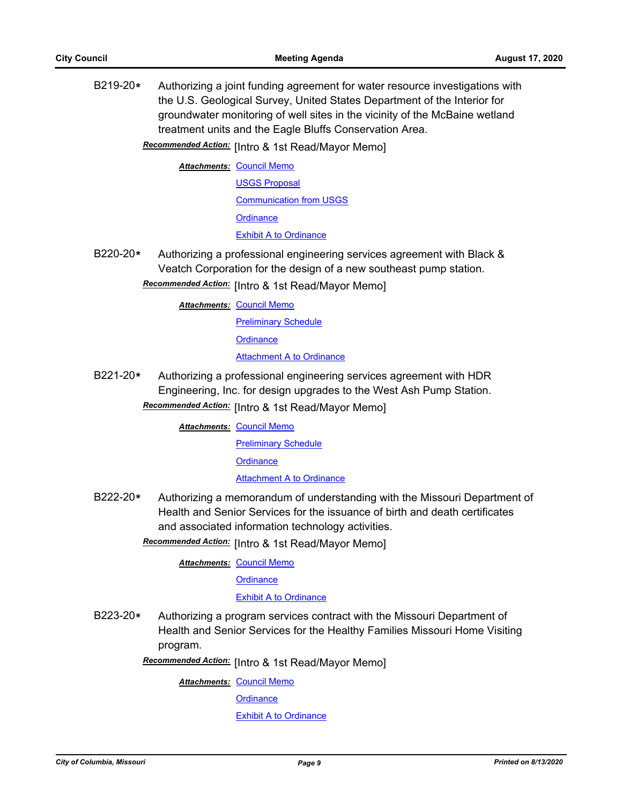B219-20**\*** Authorizing a joint funding agreement for water resource investigations with the U.S. Geological Survey, United States Department of the Interior for groundwater monitoring of well sites in the vicinity of the McBaine wetland treatment units and the Eagle Bluffs Conservation Area.

Recommended Action: [Intro & 1st Read/Mayor Memo]

**Attachments: [Council Memo](http://gocolumbiamo.legistar.com/gateway.aspx?M=F&ID=ca45af7c-7327-441d-81fe-e6dd4ec0dd7d.docx)** 

[USGS Proposal](http://gocolumbiamo.legistar.com/gateway.aspx?M=F&ID=83f2d931-1845-41d2-93a5-ef5236e73149.pdf) [Communication from USGS](http://gocolumbiamo.legistar.com/gateway.aspx?M=F&ID=936d678f-db55-4ced-a7a2-39a1b0fe98ef.pdf) **[Ordinance](http://gocolumbiamo.legistar.com/gateway.aspx?M=F&ID=8d81b5b6-ef57-480a-baf2-d5c0a8500feb.doc)** [Exhibit A to Ordinance](http://gocolumbiamo.legistar.com/gateway.aspx?M=F&ID=bb5055c4-fb08-41bb-8032-760541e3df75.pdf)

B220-20**\*** Authorizing a professional engineering services agreement with Black & Veatch Corporation for the design of a new southeast pump station.

Recommended Action: [Intro & 1st Read/Mayor Memo]

**Attachments: [Council Memo](http://gocolumbiamo.legistar.com/gateway.aspx?M=F&ID=c267646b-d3b5-4275-985e-fa3a56a450e1.docx)** 

[Preliminary Schedule](http://gocolumbiamo.legistar.com/gateway.aspx?M=F&ID=ee6e8bcb-2931-461a-a7bb-13111a102246.pdf)

**[Ordinance](http://gocolumbiamo.legistar.com/gateway.aspx?M=F&ID=97af17a0-ba30-48ed-a418-1dac6c66b3d0.doc)** 

[Attachment A to Ordinance](http://gocolumbiamo.legistar.com/gateway.aspx?M=F&ID=6f9b4e82-74b3-4df4-b278-df1e2d338279.pdf)

B221-20**\*** Authorizing a professional engineering services agreement with HDR Engineering, Inc. for design upgrades to the West Ash Pump Station. **Recommended Action:** [Intro & 1st Read/Mayor Memo]

**Attachments: [Council Memo](http://gocolumbiamo.legistar.com/gateway.aspx?M=F&ID=5f5b1004-ba17-4482-83ae-3e993e35bb5a.docx)** 

[Preliminary Schedule](http://gocolumbiamo.legistar.com/gateway.aspx?M=F&ID=6d3dbc07-a773-4c7e-b907-49831ceaf108.pdf)

**[Ordinance](http://gocolumbiamo.legistar.com/gateway.aspx?M=F&ID=32a4a9de-a4bd-411b-85e9-c64d2b708af2.doc)** 

**[Attachment A to Ordinance](http://gocolumbiamo.legistar.com/gateway.aspx?M=F&ID=b7bfed14-f1bd-4222-b904-1897713a9bf5.pdf)** 

B222-20**\*** Authorizing a memorandum of understanding with the Missouri Department of Health and Senior Services for the issuance of birth and death certificates and associated information technology activities.

Recommended Action: [Intro & 1st Read/Mayor Memo]

**Attachments: [Council Memo](http://gocolumbiamo.legistar.com/gateway.aspx?M=F&ID=83642ee9-ba4c-4998-98fd-a90c31bfee4e.docx)** 

**[Ordinance](http://gocolumbiamo.legistar.com/gateway.aspx?M=F&ID=8caca5ed-4736-40ec-8da8-6b606f3b19d8.doc)** 

## [Exhibit A to Ordinance](http://gocolumbiamo.legistar.com/gateway.aspx?M=F&ID=84a6c78e-f1c9-4280-9743-0caacbd62dae.pdf)

B223-20**\*** Authorizing a program services contract with the Missouri Department of Health and Senior Services for the Healthy Families Missouri Home Visiting program.

**Recommended Action:** [Intro & 1st Read/Mayor Memo]

**Attachments: [Council Memo](http://gocolumbiamo.legistar.com/gateway.aspx?M=F&ID=80af1d6a-d312-4982-a247-88d261c6f6df.docx)** 

**[Ordinance](http://gocolumbiamo.legistar.com/gateway.aspx?M=F&ID=688e32cd-82d7-4743-ba32-a158f1b2cb17.doc)** 

[Exhibit A to Ordinance](http://gocolumbiamo.legistar.com/gateway.aspx?M=F&ID=5f72293d-9550-40f9-98c6-95ea99354f43.pdf)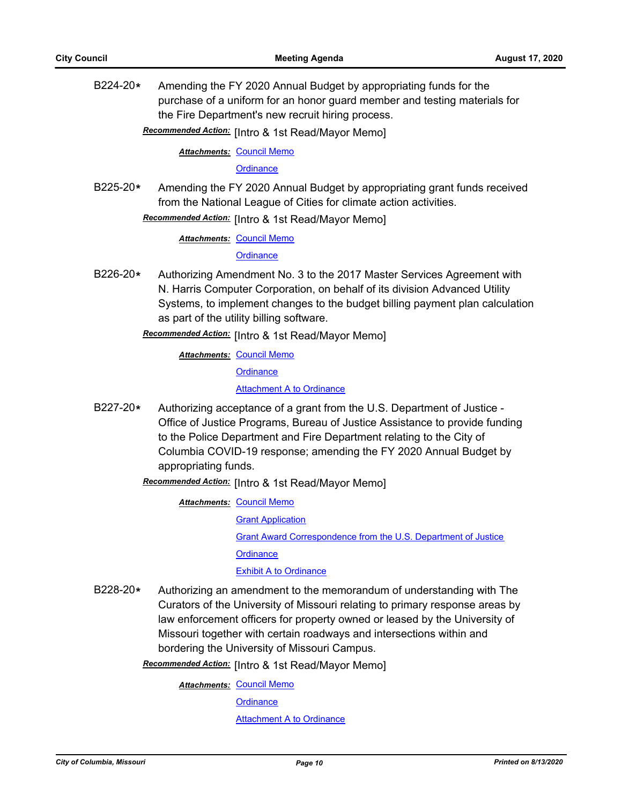B224-20**\*** Amending the FY 2020 Annual Budget by appropriating funds for the purchase of a uniform for an honor guard member and testing materials for the Fire Department's new recruit hiring process.

**Recommended Action:** [Intro & 1st Read/Mayor Memo]

**Attachments: [Council Memo](http://gocolumbiamo.legistar.com/gateway.aspx?M=F&ID=b2785377-1650-4068-9ba5-fac015bb043b.docx)** 

#### **[Ordinance](http://gocolumbiamo.legistar.com/gateway.aspx?M=F&ID=51d4d274-680f-44f9-8a9b-450eae81d657.doc)**

B225-20**\*** Amending the FY 2020 Annual Budget by appropriating grant funds received from the National League of Cities for climate action activities.

Recommended Action: [Intro & 1st Read/Mayor Memo]

**Attachments: [Council Memo](http://gocolumbiamo.legistar.com/gateway.aspx?M=F&ID=ccf2db49-6409-41ee-aaa0-4291f821f9cd.docx)** 

### **[Ordinance](http://gocolumbiamo.legistar.com/gateway.aspx?M=F&ID=55595589-c784-4043-9fa9-c41e44c89ef1.doc)**

B226-20**\*** Authorizing Amendment No. 3 to the 2017 Master Services Agreement with N. Harris Computer Corporation, on behalf of its division Advanced Utility Systems, to implement changes to the budget billing payment plan calculation as part of the utility billing software.

Recommended Action: [Intro & 1st Read/Mayor Memo]

**Attachments: [Council Memo](http://gocolumbiamo.legistar.com/gateway.aspx?M=F&ID=632a7339-4d67-4db7-a6a7-7e656662be17.docx)** 

**[Ordinance](http://gocolumbiamo.legistar.com/gateway.aspx?M=F&ID=5ef6a584-0eca-444c-87ba-e232a871f9ff.doc)** 

[Attachment A to Ordinance](http://gocolumbiamo.legistar.com/gateway.aspx?M=F&ID=4df1ad90-69fa-4389-a16d-3cb66f24db1a.pdf)

B227-20**\*** Authorizing acceptance of a grant from the U.S. Department of Justice - Office of Justice Programs, Bureau of Justice Assistance to provide funding to the Police Department and Fire Department relating to the City of Columbia COVID-19 response; amending the FY 2020 Annual Budget by appropriating funds.

**Recommended Action:** [Intro & 1st Read/Mayor Memo]

**Attachments: [Council Memo](http://gocolumbiamo.legistar.com/gateway.aspx?M=F&ID=ac61f61e-cac0-4fde-97e3-ae032c903084.docx)** 

**[Grant Application](http://gocolumbiamo.legistar.com/gateway.aspx?M=F&ID=9e2a6eea-3213-4d7e-8890-c400b753dd61.pdf)** 

[Grant Award Correspondence from the U.S. Department of Justice](http://gocolumbiamo.legistar.com/gateway.aspx?M=F&ID=3d8028ea-e7f3-45fb-b2b5-37a3ecead535.pdf)

**[Ordinance](http://gocolumbiamo.legistar.com/gateway.aspx?M=F&ID=cf58d925-e64e-4edf-a019-2eb290b678c3.doc)** 

[Exhibit A to Ordinance](http://gocolumbiamo.legistar.com/gateway.aspx?M=F&ID=a97675a2-0d69-4177-8c26-48a661e4ec01.pdf)

B228-20**\*** Authorizing an amendment to the memorandum of understanding with The Curators of the University of Missouri relating to primary response areas by law enforcement officers for property owned or leased by the University of Missouri together with certain roadways and intersections within and bordering the University of Missouri Campus.

**Recommended Action:** [Intro & 1st Read/Mayor Memo]

**Attachments: [Council Memo](http://gocolumbiamo.legistar.com/gateway.aspx?M=F&ID=c6a703e3-10d7-4e67-a039-4e1c558364cf.docx)** 

**[Ordinance](http://gocolumbiamo.legistar.com/gateway.aspx?M=F&ID=884d60e2-00ba-4871-b966-1d848681c222.doc)** 

**[Attachment A to Ordinance](http://gocolumbiamo.legistar.com/gateway.aspx?M=F&ID=95d5dd0f-979c-4f7d-9c77-a4eed6a0c9f2.pdf)**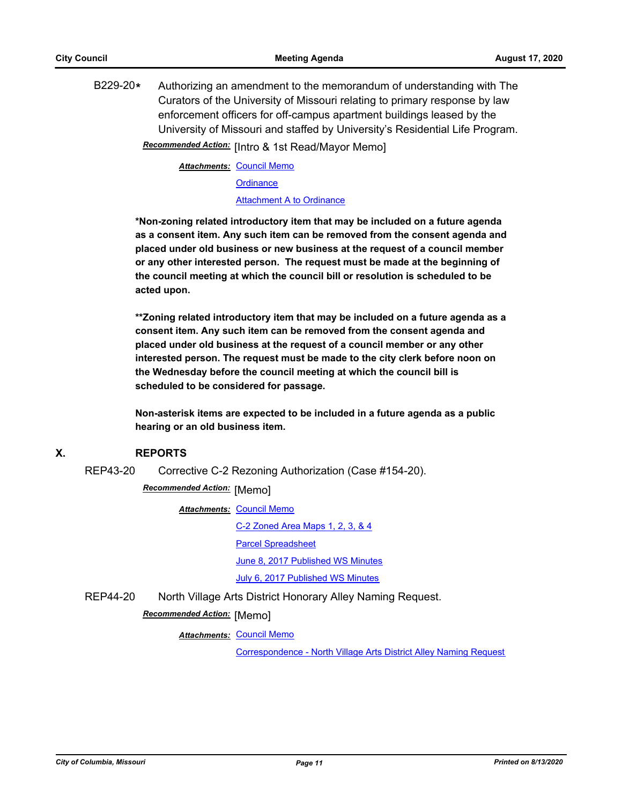B229-20**\*** Authorizing an amendment to the memorandum of understanding with The Curators of the University of Missouri relating to primary response by law enforcement officers for off-campus apartment buildings leased by the University of Missouri and staffed by University's Residential Life Program. **Recommended Action:** [Intro & 1st Read/Mayor Memo]

**Attachments: [Council Memo](http://gocolumbiamo.legistar.com/gateway.aspx?M=F&ID=6b01a3bc-145e-4e34-adde-c13f74b3f845.docx)** 

**[Ordinance](http://gocolumbiamo.legistar.com/gateway.aspx?M=F&ID=dff09142-94c7-4dec-b345-1ae54c9f7b7b.doc)** 

[Attachment A to Ordinance](http://gocolumbiamo.legistar.com/gateway.aspx?M=F&ID=0c639ca4-c49d-48b1-9abe-32697e96cddf.pdf)

**\*Non-zoning related introductory item that may be included on a future agenda as a consent item. Any such item can be removed from the consent agenda and placed under old business or new business at the request of a council member or any other interested person. The request must be made at the beginning of the council meeting at which the council bill or resolution is scheduled to be acted upon.** 

**\*\*Zoning related introductory item that may be included on a future agenda as a consent item. Any such item can be removed from the consent agenda and placed under old business at the request of a council member or any other interested person. The request must be made to the city clerk before noon on the Wednesday before the council meeting at which the council bill is scheduled to be considered for passage.**

**Non-asterisk items are expected to be included in a future agenda as a public hearing or an old business item.**

# **X. REPORTS**

REP43-20 Corrective C-2 Rezoning Authorization (Case #154-20).

**Recommended Action: [Memo]** 

**Attachments: [Council Memo](http://gocolumbiamo.legistar.com/gateway.aspx?M=F&ID=713b550b-53aa-46b7-a77a-74e5b1d61f5c.docx)** 

[C-2 Zoned Area Maps 1, 2, 3, & 4](http://gocolumbiamo.legistar.com/gateway.aspx?M=F&ID=c149060a-a697-42fd-bd62-21cdbef96aa5.pdf)

[Parcel Spreadsheet](http://gocolumbiamo.legistar.com/gateway.aspx?M=F&ID=2d9f6c74-821b-4f27-9fc0-abdf2ffb6054.pdf)

[June 8, 2017 Published WS Minutes](http://gocolumbiamo.legistar.com/gateway.aspx?M=F&ID=edd547b9-3266-4319-b3ad-70b5f9b80357.pdf)

[July 6, 2017 Published WS Minutes](http://gocolumbiamo.legistar.com/gateway.aspx?M=F&ID=4bc19ade-a6e7-4366-af88-a95a638054be.pdf)

REP44-20 North Village Arts District Honorary Alley Naming Request.

# **Recommended Action:** [Memo]

**Attachments: [Council Memo](http://gocolumbiamo.legistar.com/gateway.aspx?M=F&ID=c625d5c4-5d16-49c8-8593-13a1a502cb47.docx)** 

[Correspondence - North Village Arts District Alley Naming Request](http://gocolumbiamo.legistar.com/gateway.aspx?M=F&ID=2898e71e-eaca-4c32-9f92-3a8227d551c7.doc)